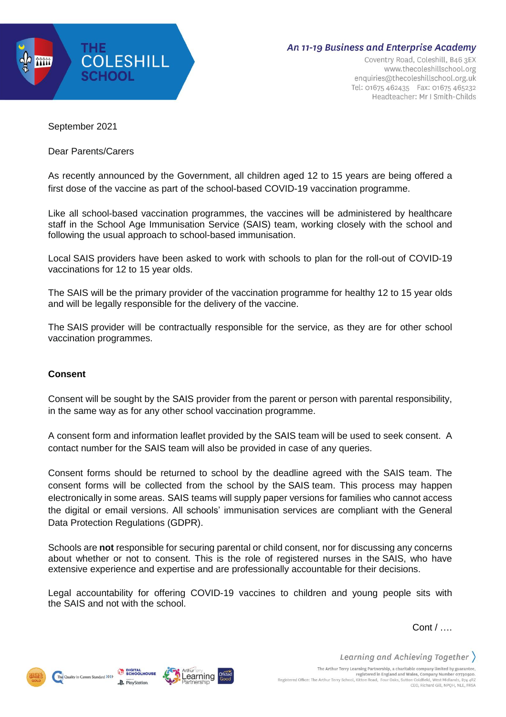

## **An 11-19 Business and Enterprise Academy**

Coventry Road, Coleshill, B46 3EX www.thecoleshillschool.org enquiries@thecoleshillschool.org.uk Tel: 01675 462435 Fax: 01675 465232 Headteacher: Mr I Smith-Childs

September 2021

Dear Parents/Carers

As recently announced by the Government, all children aged 12 to 15 years are being offered a first dose of the vaccine as part of the school-based COVID-19 vaccination programme.

Like all school-based vaccination programmes, the vaccines will be administered by healthcare staff in the School Age Immunisation Service (SAIS) team, working closely with the school and following the usual approach to school-based immunisation.

Local SAIS providers have been asked to work with schools to plan for the roll-out of COVID-19 vaccinations for 12 to 15 year olds.

The SAIS will be the primary provider of the vaccination programme for healthy 12 to 15 year olds and will be legally responsible for the delivery of the vaccine.

The SAIS provider will be contractually responsible for the service, as they are for other school vaccination programmes.

## **Consent**

Consent will be sought by the SAIS provider from the parent or person with parental responsibility, in the same way as for any other school vaccination programme.

A consent form and information leaflet provided by the SAIS team will be used to seek consent. A contact number for the SAIS team will also be provided in case of any queries.

Consent forms should be returned to school by the deadline agreed with the SAIS team. The consent forms will be collected from the school by the SAIS team. This process may happen electronically in some areas. SAIS teams will supply paper versions for families who cannot access the digital or email versions. All schools' immunisation services are compliant with the General Data Protection Regulations (GDPR).

Schools are **not** responsible for securing parental or child consent, nor for discussing any concerns about whether or not to consent. This is the role of registered nurses in the SAIS, who have extensive experience and expertise and are professionally accountable for their decisions.

Legal accountability for offering COVID-19 vaccines to children and young people sits with the SAIS and not with the school.

Cont / ….